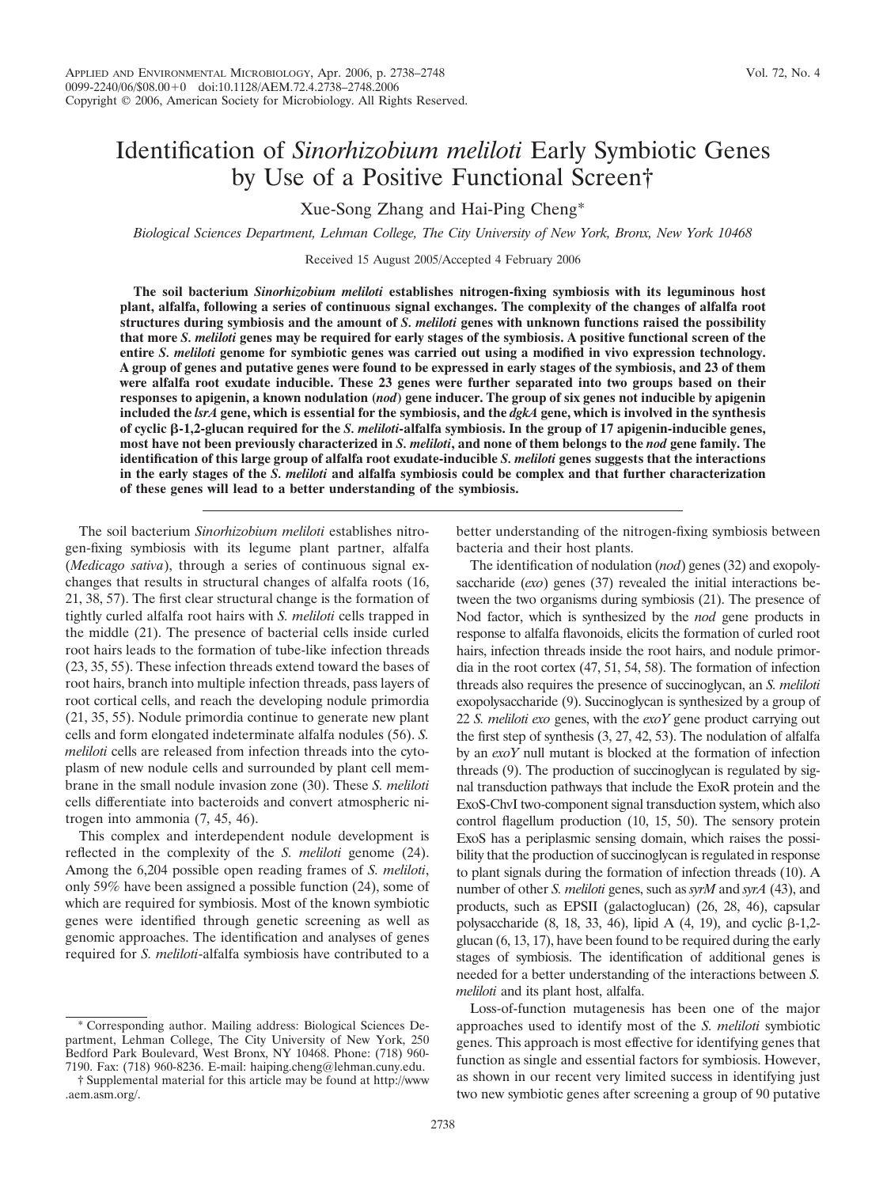# Identification of *Sinorhizobium meliloti* Early Symbiotic Genes by Use of a Positive Functional Screen†

Xue-Song Zhang and Hai-Ping Cheng\*

*Biological Sciences Department, Lehman College, The City University of New York, Bronx, New York 10468*

Received 15 August 2005/Accepted 4 February 2006

**The soil bacterium** *Sinorhizobium meliloti* **establishes nitrogen-fixing symbiosis with its leguminous host plant, alfalfa, following a series of continuous signal exchanges. The complexity of the changes of alfalfa root structures during symbiosis and the amount of** *S. meliloti* **genes with unknown functions raised the possibility that more** *S. meliloti* **genes may be required for early stages of the symbiosis. A positive functional screen of the entire** *S. meliloti* **genome for symbiotic genes was carried out using a modified in vivo expression technology. A group of genes and putative genes were found to be expressed in early stages of the symbiosis, and 23 of them were alfalfa root exudate inducible. These 23 genes were further separated into two groups based on their responses to apigenin, a known nodulation (***nod***) gene inducer. The group of six genes not inducible by apigenin included the** *lsrA* **gene, which is essential for the symbiosis, and the** *dgkA* **gene, which is involved in the synthesis of cyclic -1,2-glucan required for the** *S. meliloti-***alfalfa symbiosis. In the group of 17 apigenin-inducible genes, most have not been previously characterized in** *S. meliloti***, and none of them belongs to the** *nod* **gene family. The identification of this large group of alfalfa root exudate-inducible** *S. meliloti* **genes suggests that the interactions in the early stages of the** *S. meliloti* **and alfalfa symbiosis could be complex and that further characterization of these genes will lead to a better understanding of the symbiosis.**

The soil bacterium *Sinorhizobium meliloti* establishes nitrogen-fixing symbiosis with its legume plant partner, alfalfa (*Medicago sativa*), through a series of continuous signal exchanges that results in structural changes of alfalfa roots (16, 21, 38, 57). The first clear structural change is the formation of tightly curled alfalfa root hairs with *S. meliloti* cells trapped in the middle (21). The presence of bacterial cells inside curled root hairs leads to the formation of tube-like infection threads (23, 35, 55). These infection threads extend toward the bases of root hairs, branch into multiple infection threads, pass layers of root cortical cells, and reach the developing nodule primordia (21, 35, 55). Nodule primordia continue to generate new plant cells and form elongated indeterminate alfalfa nodules (56). *S. meliloti* cells are released from infection threads into the cytoplasm of new nodule cells and surrounded by plant cell membrane in the small nodule invasion zone (30). These *S. meliloti* cells differentiate into bacteroids and convert atmospheric nitrogen into ammonia (7, 45, 46).

This complex and interdependent nodule development is reflected in the complexity of the *S. meliloti* genome (24). Among the 6,204 possible open reading frames of *S. meliloti*, only 59% have been assigned a possible function (24), some of which are required for symbiosis. Most of the known symbiotic genes were identified through genetic screening as well as genomic approaches. The identification and analyses of genes required for *S. meliloti*-alfalfa symbiosis have contributed to a

better understanding of the nitrogen-fixing symbiosis between bacteria and their host plants.

The identification of nodulation (*nod*) genes (32) and exopolysaccharide (*exo*) genes (37) revealed the initial interactions between the two organisms during symbiosis (21). The presence of Nod factor, which is synthesized by the *nod* gene products in response to alfalfa flavonoids, elicits the formation of curled root hairs, infection threads inside the root hairs, and nodule primordia in the root cortex (47, 51, 54, 58). The formation of infection threads also requires the presence of succinoglycan, an *S. meliloti* exopolysaccharide (9). Succinoglycan is synthesized by a group of 22 *S. meliloti exo* genes, with the *exoY* gene product carrying out the first step of synthesis (3, 27, 42, 53). The nodulation of alfalfa by an *exoY* null mutant is blocked at the formation of infection threads (9). The production of succinoglycan is regulated by signal transduction pathways that include the ExoR protein and the ExoS-ChvI two-component signal transduction system, which also control flagellum production (10, 15, 50). The sensory protein ExoS has a periplasmic sensing domain, which raises the possibility that the production of succinoglycan is regulated in response to plant signals during the formation of infection threads (10). A number of other *S. meliloti* genes, such as *syrM* and *syrA* (43), and products, such as EPSII (galactoglucan) (26, 28, 46), capsular polysaccharide  $(8, 18, 33, 46)$ , lipid A  $(4, 19)$ , and cyclic  $\beta$ -1,2glucan (6, 13, 17), have been found to be required during the early stages of symbiosis. The identification of additional genes is needed for a better understanding of the interactions between *S. meliloti* and its plant host, alfalfa.

Loss-of-function mutagenesis has been one of the major approaches used to identify most of the *S. meliloti* symbiotic genes. This approach is most effective for identifying genes that function as single and essential factors for symbiosis. However, as shown in our recent very limited success in identifying just two new symbiotic genes after screening a group of 90 putative

<sup>\*</sup> Corresponding author. Mailing address: Biological Sciences Department, Lehman College, The City University of New York, 250 Bedford Park Boulevard, West Bronx, NY 10468. Phone: (718) 960- 7190. Fax: (718) 960-8236. E-mail: haiping.cheng@lehman.cuny.edu.

<sup>†</sup> Supplemental material for this article may be found at http://www .aem.asm.org/.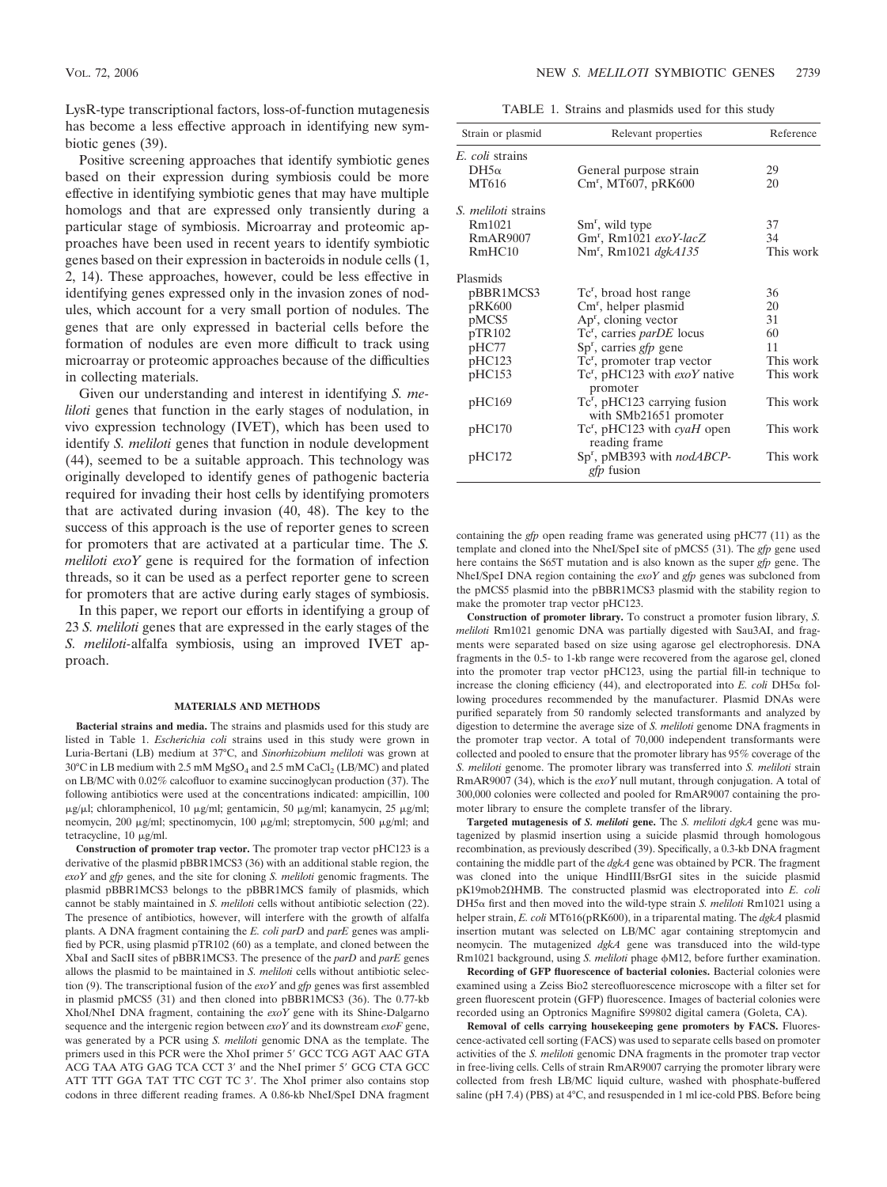LysR-type transcriptional factors, loss-of-function mutagenesis has become a less effective approach in identifying new symbiotic genes (39).

Positive screening approaches that identify symbiotic genes based on their expression during symbiosis could be more effective in identifying symbiotic genes that may have multiple homologs and that are expressed only transiently during a particular stage of symbiosis. Microarray and proteomic approaches have been used in recent years to identify symbiotic genes based on their expression in bacteroids in nodule cells (1, 2, 14). These approaches, however, could be less effective in identifying genes expressed only in the invasion zones of nodules, which account for a very small portion of nodules. The genes that are only expressed in bacterial cells before the formation of nodules are even more difficult to track using microarray or proteomic approaches because of the difficulties in collecting materials.

Given our understanding and interest in identifying *S. meliloti* genes that function in the early stages of nodulation, in vivo expression technology (IVET), which has been used to identify *S. meliloti* genes that function in nodule development (44), seemed to be a suitable approach. This technology was originally developed to identify genes of pathogenic bacteria required for invading their host cells by identifying promoters that are activated during invasion (40, 48). The key to the success of this approach is the use of reporter genes to screen for promoters that are activated at a particular time. The *S. meliloti exoY* gene is required for the formation of infection threads, so it can be used as a perfect reporter gene to screen for promoters that are active during early stages of symbiosis.

In this paper, we report our efforts in identifying a group of 23 *S. meliloti* genes that are expressed in the early stages of the *S. meliloti-*alfalfa symbiosis, using an improved IVET approach.

### **MATERIALS AND METHODS**

**Bacterial strains and media.** The strains and plasmids used for this study are listed in Table 1. *Escherichia coli* strains used in this study were grown in Luria-Bertani (LB) medium at 37°C, and *Sinorhizobium meliloti* was grown at  $30^{\circ}$ C in LB medium with 2.5 mM MgSO<sub>4</sub> and 2.5 mM CaCl<sub>2</sub> (LB/MC) and plated on LB/MC with 0.02% calcofluor to examine succinoglycan production (37). The following antibiotics were used at the concentrations indicated: ampicillin, 100  $\mu$ g/ $\mu$ l; chloramphenicol, 10  $\mu$ g/ml; gentamicin, 50  $\mu$ g/ml; kanamycin, 25  $\mu$ g/ml; neomycin, 200 μg/ml; spectinomycin, 100 μg/ml; streptomycin, 500 μg/ml; and tetracycline,  $10 \mu$ g/ml.

**Construction of promoter trap vector.** The promoter trap vector pHC123 is a derivative of the plasmid pBBR1MCS3 (36) with an additional stable region, the *exoY* and *gfp* genes, and the site for cloning *S. meliloti* genomic fragments. The plasmid pBBR1MCS3 belongs to the pBBR1MCS family of plasmids, which cannot be stably maintained in *S. meliloti* cells without antibiotic selection (22). The presence of antibiotics, however, will interfere with the growth of alfalfa plants. A DNA fragment containing the *E. coli parD* and *parE* genes was amplified by PCR, using plasmid pTR102 (60) as a template, and cloned between the XbaI and SacII sites of pBBR1MCS3. The presence of the *parD* and *parE* genes allows the plasmid to be maintained in *S. meliloti* cells without antibiotic selection (9). The transcriptional fusion of the *exoY* and *gfp* genes was first assembled in plasmid pMCS5 (31) and then cloned into pBBR1MCS3 (36). The 0.77-kb XhoI/NheI DNA fragment, containing the *exoY* gene with its Shine-Dalgarno sequence and the intergenic region between *exoY* and its downstream *exoF* gene, was generated by a PCR using *S. meliloti* genomic DNA as the template. The primers used in this PCR were the XhoI primer 5' GCC TCG AGT AAC GTA ACG TAA ATG GAG TCA CCT 3' and the NheI primer 5' GCG CTA GCC ATT TTT GGA TAT TTC CGT TC 3'. The XhoI primer also contains stop codons in three different reading frames. A 0.86-kb NheI/SpeI DNA fragment

TABLE 1. Strains and plasmids used for this study

| Strain or plasmid          | Relevant properties                                                 | Reference |
|----------------------------|---------------------------------------------------------------------|-----------|
| E. coli strains            |                                                                     |           |
| $DH5\alpha$                | General purpose strain                                              | 29        |
| MT616                      | Cm <sup>r</sup> , MT607, pRK600                                     | 20        |
| <i>S. meliloti</i> strains |                                                                     |           |
| Rm1021                     | Sm <sup>r</sup> , wild type                                         | 37        |
| <b>RmAR9007</b>            | Gm <sup>r</sup> , Rm1021 exoY-lacZ                                  | 34        |
| RmHC10                     | Nm <sup>r</sup> , Rm1021 dgkA135                                    | This work |
| Plasmids                   |                                                                     |           |
| pBBR1MCS3                  | Tc <sup>r</sup> , broad host range                                  | 36        |
| pRK600                     | $Cmr$ , helper plasmid                                              | 20        |
| pMCS5                      | $Apr$ , cloning vector                                              | 31        |
| pTR102                     | Tc <sup>r</sup> , carries <i>parDE</i> locus                        | 60        |
| pHC77                      | $Spr$ , carries <i>gfp</i> gene                                     | 11        |
| pHCl23                     | $Tcr$ , promoter trap vector                                        | This work |
| pHCl <sub>53</sub>         | Tc <sup>r</sup> , pHC123 with $exoY$ native<br>promoter             | This work |
| pHC169                     | Tc <sup>r</sup> , pHC123 carrying fusion<br>with SMb21651 promoter  | This work |
| pHCl70                     | Tc <sup>r</sup> , pHC123 with cyaH open<br>reading frame            | This work |
| pHCl72                     | Sp <sup>r</sup> , pMB393 with <i>nodABCP</i> -<br><i>gfp</i> fusion | This work |

containing the *gfp* open reading frame was generated using pHC77 (11) as the template and cloned into the NheI/SpeI site of pMCS5 (31). The *gfp* gene used here contains the S65T mutation and is also known as the super *gfp* gene. The NheI/SpeI DNA region containing the *exoY* and *gfp* genes was subcloned from the pMCS5 plasmid into the pBBR1MCS3 plasmid with the stability region to make the promoter trap vector pHC123.

**Construction of promoter library.** To construct a promoter fusion library, *S. meliloti* Rm1021 genomic DNA was partially digested with Sau3AI, and fragments were separated based on size using agarose gel electrophoresis. DNA fragments in the 0.5- to 1-kb range were recovered from the agarose gel, cloned into the promoter trap vector pHC123, using the partial fill-in technique to increase the cloning efficiency (44), and electroporated into *E. coli* DH5 $\alpha$  following procedures recommended by the manufacturer. Plasmid DNAs were purified separately from 50 randomly selected transformants and analyzed by digestion to determine the average size of *S. meliloti* genome DNA fragments in the promoter trap vector. A total of 70,000 independent transformants were collected and pooled to ensure that the promoter library has 95% coverage of the *S. meliloti* genome. The promoter library was transferred into *S. meliloti* strain RmAR9007 (34), which is the *exoY* null mutant, through conjugation. A total of 300,000 colonies were collected and pooled for RmAR9007 containing the promoter library to ensure the complete transfer of the library.

**Targeted mutagenesis of** *S. meliloti* **gene.** The *S. meliloti dgkA* gene was mutagenized by plasmid insertion using a suicide plasmid through homologous recombination, as previously described (39). Specifically, a 0.3-kb DNA fragment containing the middle part of the *dgkA* gene was obtained by PCR. The fragment was cloned into the unique HindIII/BsrGI sites in the suicide plasmid pK19mob2HMB. The constructed plasmid was electroporated into *E. coli* DH5 $\alpha$  first and then moved into the wild-type strain *S. meliloti* Rm1021 using a helper strain, *E. coli* MT616(pRK600), in a triparental mating. The *dgkA* plasmid insertion mutant was selected on LB/MC agar containing streptomycin and neomycin. The mutagenized *dgkA* gene was transduced into the wild-type Rm1021 background, using *S. meliloti* phage  $\phi$ M12, before further examination.

**Recording of GFP fluorescence of bacterial colonies.** Bacterial colonies were examined using a Zeiss Bio2 stereofluorescence microscope with a filter set for green fluorescent protein (GFP) fluorescence. Images of bacterial colonies were recorded using an Optronics Magnifire S99802 digital camera (Goleta, CA).

**Removal of cells carrying housekeeping gene promoters by FACS.** Fluorescence-activated cell sorting (FACS) was used to separate cells based on promoter activities of the *S. meliloti* genomic DNA fragments in the promoter trap vector in free-living cells. Cells of strain RmAR9007 carrying the promoter library were collected from fresh LB/MC liquid culture, washed with phosphate-buffered saline (pH 7.4) (PBS) at 4°C, and resuspended in 1 ml ice-cold PBS. Before being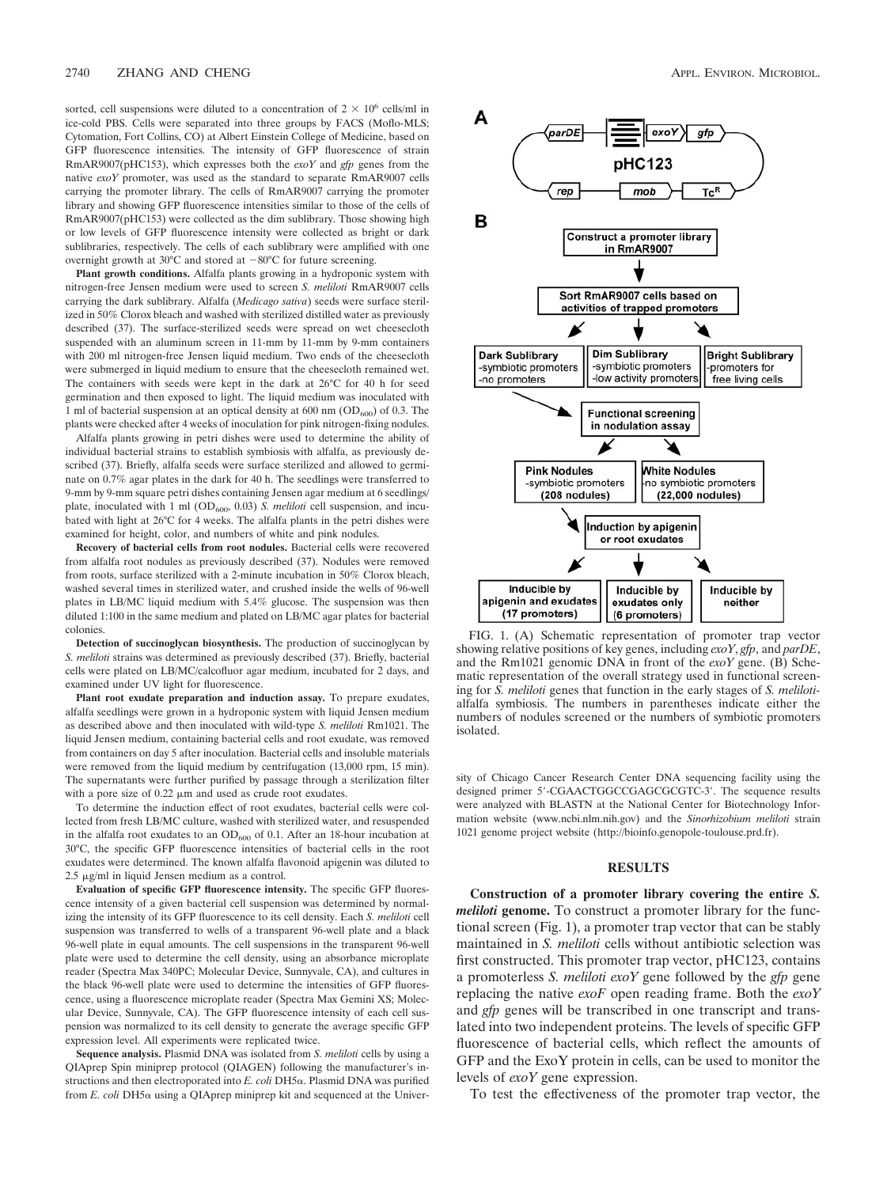sorted, cell suspensions were diluted to a concentration of  $2 \times 10^6$  cells/ml in ice-cold PBS. Cells were separated into three groups by FACS (Moflo-MLS; Cytomation, Fort Collins, CO) at Albert Einstein College of Medicine, based on GFP fluorescence intensities. The intensity of GFP fluorescence of strain RmAR9007(pHC153), which expresses both the *exoY* and *gfp* genes from the native *exoY* promoter, was used as the standard to separate RmAR9007 cells carrying the promoter library. The cells of RmAR9007 carrying the promoter library and showing GFP fluorescence intensities similar to those of the cells of RmAR9007(pHC153) were collected as the dim sublibrary. Those showing high or low levels of GFP fluorescence intensity were collected as bright or dark sublibraries, respectively. The cells of each sublibrary were amplified with one overnight growth at 30°C and stored at  $-80$ °C for future screening.

**Plant growth conditions.** Alfalfa plants growing in a hydroponic system with nitrogen-free Jensen medium were used to screen *S. meliloti* RmAR9007 cells carrying the dark sublibrary. Alfalfa (*Medicago sativa*) seeds were surface sterilized in 50% Clorox bleach and washed with sterilized distilled water as previously described (37). The surface-sterilized seeds were spread on wet cheesecloth suspended with an aluminum screen in 11-mm by 11-mm by 9-mm containers with 200 ml nitrogen-free Jensen liquid medium. Two ends of the cheesecloth were submerged in liquid medium to ensure that the cheesecloth remained wet. The containers with seeds were kept in the dark at 26°C for 40 h for seed germination and then exposed to light. The liquid medium was inoculated with 1 ml of bacterial suspension at an optical density at 600 nm  $(OD_{600})$  of 0.3. The plants were checked after 4 weeks of inoculation for pink nitrogen-fixing nodules.

Alfalfa plants growing in petri dishes were used to determine the ability of individual bacterial strains to establish symbiosis with alfalfa, as previously described (37). Briefly, alfalfa seeds were surface sterilized and allowed to germinate on 0.7% agar plates in the dark for 40 h. The seedlings were transferred to 9-mm by 9-mm square petri dishes containing Jensen agar medium at 6 seedlings/ plate, inoculated with 1 ml (OD<sub>600</sub>, 0.03) *S. meliloti* cell suspension, and incubated with light at 26°C for 4 weeks. The alfalfa plants in the petri dishes were examined for height, color, and numbers of white and pink nodules.

**Recovery of bacterial cells from root nodules.** Bacterial cells were recovered from alfalfa root nodules as previously described (37). Nodules were removed from roots, surface sterilized with a 2-minute incubation in 50% Clorox bleach washed several times in sterilized water, and crushed inside the wells of 96-well plates in LB/MC liquid medium with 5.4% glucose. The suspension was then diluted 1:100 in the same medium and plated on LB/MC agar plates for bacterial colonies.

**Detection of succinoglycan biosynthesis.** The production of succinoglycan by *S. meliloti* strains was determined as previously described (37). Briefly, bacterial cells were plated on LB/MC/calcofluor agar medium, incubated for 2 days, and examined under UV light for fluorescence.

**Plant root exudate preparation and induction assay.** To prepare exudates, alfalfa seedlings were grown in a hydroponic system with liquid Jensen medium as described above and then inoculated with wild-type *S. meliloti* Rm1021. The liquid Jensen medium, containing bacterial cells and root exudate, was removed from containers on day 5 after inoculation. Bacterial cells and insoluble materials were removed from the liquid medium by centrifugation (13,000 rpm, 15 min). The supernatants were further purified by passage through a sterilization filter with a pore size of  $0.22 \mu m$  and used as crude root exudates.

To determine the induction effect of root exudates, bacterial cells were collected from fresh LB/MC culture, washed with sterilized water, and resuspended in the alfalfa root exudates to an  $OD_{600}$  of 0.1. After an 18-hour incubation at 30°C, the specific GFP fluorescence intensities of bacterial cells in the root exudates were determined. The known alfalfa flavonoid apigenin was diluted to  $2.5 \mu g/ml$  in liquid Jensen medium as a control.

**Evaluation of specific GFP fluorescence intensity.** The specific GFP fluorescence intensity of a given bacterial cell suspension was determined by normalizing the intensity of its GFP fluorescence to its cell density. Each *S. meliloti* cell suspension was transferred to wells of a transparent 96-well plate and a black 96-well plate in equal amounts. The cell suspensions in the transparent 96-well plate were used to determine the cell density, using an absorbance microplate reader (Spectra Max 340PC; Molecular Device, Sunnyvale, CA), and cultures in the black 96-well plate were used to determine the intensities of GFP fluorescence, using a fluorescence microplate reader (Spectra Max Gemini XS; Molecular Device, Sunnyvale, CA). The GFP fluorescence intensity of each cell suspension was normalized to its cell density to generate the average specific GFP expression level. All experiments were replicated twice.

**Sequence analysis.** Plasmid DNA was isolated from *S. meliloti* cells by using a QIAprep Spin miniprep protocol (QIAGEN) following the manufacturer's instructions and then electroporated into  $E$ . *coli*  $DH5\alpha$ . Plasmid DNA was purified from  $E.$   $\text{coli}$  DH5 $\alpha$  using a QIAprep miniprep kit and sequenced at the Univer-



FIG. 1. (A) Schematic representation of promoter trap vector showing relative positions of key genes, including *exoY*, *gfp*, and *parDE*, and the Rm1021 genomic DNA in front of the *exoY* gene. (B) Schematic representation of the overall strategy used in functional screening for *S. meliloti* genes that function in the early stages of *S. meliloti*alfalfa symbiosis. The numbers in parentheses indicate either the numbers of nodules screened or the numbers of symbiotic promoters isolated.

sity of Chicago Cancer Research Center DNA sequencing facility using the designed primer 5'-CGAACTGGCCGAGCGCGTC-3'. The sequence results were analyzed with BLASTN at the National Center for Biotechnology Information website (www.ncbi.nlm.nih.gov) and the *Sinorhizobium meliloti* strain 1021 genome project website (http://bioinfo.genopole-toulouse.prd.fr).

## **RESULTS**

**Construction of a promoter library covering the entire** *S. meliloti* **genome.** To construct a promoter library for the functional screen (Fig. 1), a promoter trap vector that can be stably maintained in *S. meliloti* cells without antibiotic selection was first constructed. This promoter trap vector, pHC123, contains a promoterless *S. meliloti exoY* gene followed by the *gfp* gene replacing the native *exoF* open reading frame. Both the *exoY* and *gfp* genes will be transcribed in one transcript and translated into two independent proteins. The levels of specific GFP fluorescence of bacterial cells, which reflect the amounts of GFP and the ExoY protein in cells, can be used to monitor the levels of *exoY* gene expression.

To test the effectiveness of the promoter trap vector, the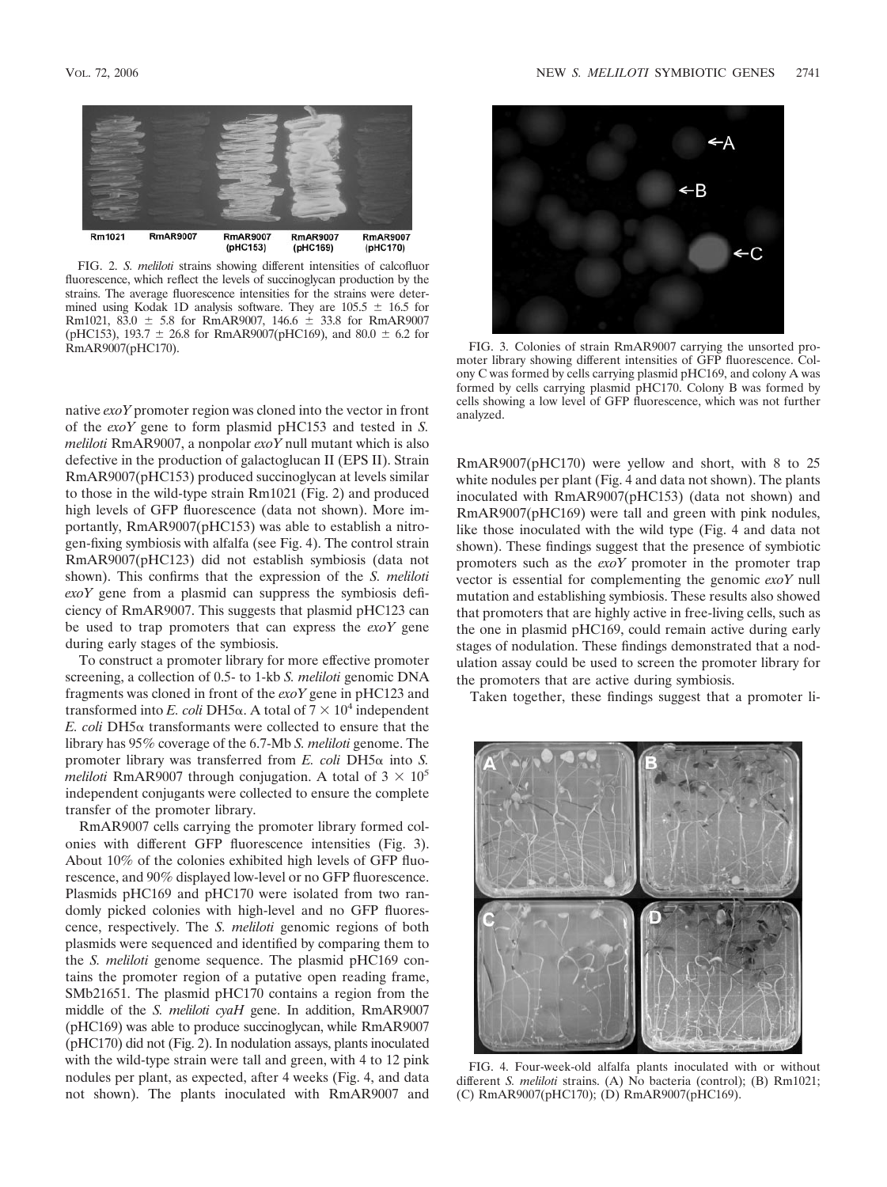

FIG. 2. *S. meliloti* strains showing different intensities of calcofluor fluorescence, which reflect the levels of succinoglycan production by the strains. The average fluorescence intensities for the strains were determined using Kodak 1D analysis software. They are  $105.5 \pm 16.5$  for Rm1021, 83.0  $\pm$  5.8 for RmAR9007, 146.6  $\pm$  33.8 for RmAR9007 (pHC153), 193.7  $\pm$  26.8 for RmAR9007(pHC169), and 80.0  $\pm$  6.2 for RmAR9007(pHC170). FIG. 3. Colonies of strain RmAR9007 carrying the unsorted pro-

native *exoY* promoter region was cloned into the vector in front of the *exoY* gene to form plasmid pHC153 and tested in *S. meliloti* RmAR9007, a nonpolar *exoY* null mutant which is also defective in the production of galactoglucan II (EPS II). Strain RmAR9007(pHC153) produced succinoglycan at levels similar to those in the wild-type strain Rm1021 (Fig. 2) and produced high levels of GFP fluorescence (data not shown). More importantly, RmAR9007(pHC153) was able to establish a nitrogen-fixing symbiosis with alfalfa (see Fig. 4). The control strain RmAR9007(pHC123) did not establish symbiosis (data not shown). This confirms that the expression of the *S. meliloti exoY* gene from a plasmid can suppress the symbiosis deficiency of RmAR9007. This suggests that plasmid pHC123 can be used to trap promoters that can express the *exoY* gene during early stages of the symbiosis.

To construct a promoter library for more effective promoter screening, a collection of 0.5- to 1-kb *S. meliloti* genomic DNA fragments was cloned in front of the *exoY* gene in pHC123 and transformed into *E. coli* DH5 $\alpha$ . A total of  $7 \times 10^4$  independent  $E.$  *coli* DH5 $\alpha$  transformants were collected to ensure that the library has 95% coverage of the 6.7-Mb *S. meliloti* genome. The promoter library was transferred from  $E$ . coli DH5 $\alpha$  into  $S$ . *meliloti* RmAR9007 through conjugation. A total of  $3 \times 10^5$ independent conjugants were collected to ensure the complete transfer of the promoter library.

RmAR9007 cells carrying the promoter library formed colonies with different GFP fluorescence intensities (Fig. 3). About 10% of the colonies exhibited high levels of GFP fluorescence, and 90% displayed low-level or no GFP fluorescence. Plasmids pHC169 and pHC170 were isolated from two randomly picked colonies with high-level and no GFP fluorescence, respectively. The *S. meliloti* genomic regions of both plasmids were sequenced and identified by comparing them to the *S. meliloti* genome sequence. The plasmid pHC169 contains the promoter region of a putative open reading frame, SMb21651. The plasmid pHC170 contains a region from the middle of the *S. meliloti cyaH* gene. In addition, RmAR9007 (pHC169) was able to produce succinoglycan, while RmAR9007 (pHC170) did not (Fig. 2). In nodulation assays, plants inoculated with the wild-type strain were tall and green, with 4 to 12 pink nodules per plant, as expected, after 4 weeks (Fig. 4, and data not shown). The plants inoculated with RmAR9007 and



moter library showing different intensities of GFP fluorescence. Colony C was formed by cells carrying plasmid pHC169, and colony A was formed by cells carrying plasmid pHC170. Colony B was formed by cells showing a low level of GFP fluorescence, which was not further analyzed.

RmAR9007(pHC170) were yellow and short, with 8 to 25 white nodules per plant (Fig. 4 and data not shown). The plants inoculated with RmAR9007(pHC153) (data not shown) and RmAR9007(pHC169) were tall and green with pink nodules, like those inoculated with the wild type (Fig. 4 and data not shown). These findings suggest that the presence of symbiotic promoters such as the *exoY* promoter in the promoter trap vector is essential for complementing the genomic *exoY* null mutation and establishing symbiosis. These results also showed that promoters that are highly active in free-living cells, such as the one in plasmid pHC169, could remain active during early stages of nodulation. These findings demonstrated that a nodulation assay could be used to screen the promoter library for the promoters that are active during symbiosis.

Taken together, these findings suggest that a promoter li-



FIG. 4. Four-week-old alfalfa plants inoculated with or without different *S. meliloti* strains. (A) No bacteria (control); (B) Rm1021; (C) RmAR9007(pHC170); (D) RmAR9007(pHC169).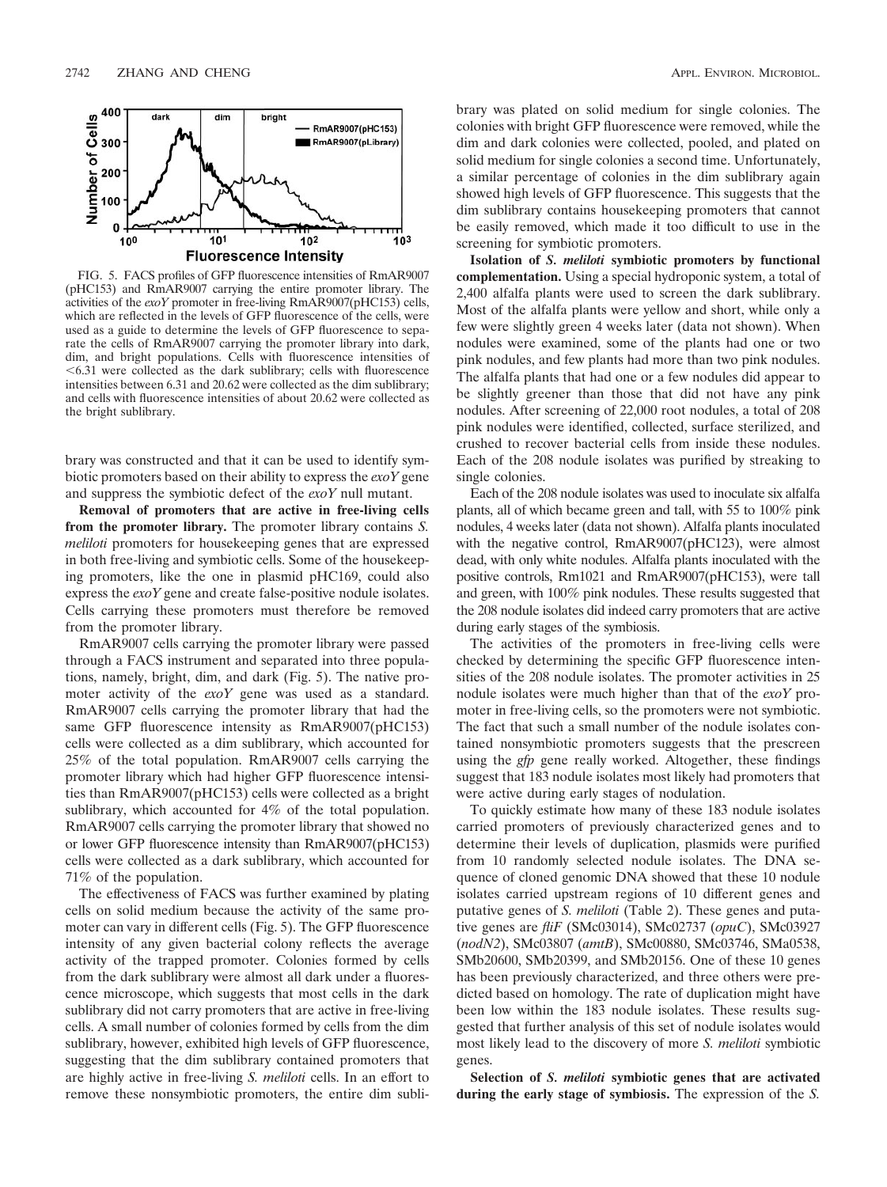

FIG. 5. FACS profiles of GFP fluorescence intensities of RmAR9007 (pHC153) and RmAR9007 carrying the entire promoter library. The activities of the *exoY* promoter in free-living RmAR9007(pHC153) cells, which are reflected in the levels of GFP fluorescence of the cells, were used as a guide to determine the levels of GFP fluorescence to separate the cells of RmAR9007 carrying the promoter library into dark, dim, and bright populations. Cells with fluorescence intensities of 6.31 were collected as the dark sublibrary; cells with fluorescence intensities between 6.31 and 20.62 were collected as the dim sublibrary; and cells with fluorescence intensities of about 20.62 were collected as the bright sublibrary.

brary was constructed and that it can be used to identify symbiotic promoters based on their ability to express the *exoY* gene and suppress the symbiotic defect of the *exoY* null mutant.

**Removal of promoters that are active in free-living cells from the promoter library.** The promoter library contains *S. meliloti* promoters for housekeeping genes that are expressed in both free-living and symbiotic cells. Some of the housekeeping promoters, like the one in plasmid pHC169, could also express the *exoY* gene and create false-positive nodule isolates. Cells carrying these promoters must therefore be removed from the promoter library.

RmAR9007 cells carrying the promoter library were passed through a FACS instrument and separated into three populations, namely, bright, dim, and dark (Fig. 5). The native promoter activity of the *exoY* gene was used as a standard. RmAR9007 cells carrying the promoter library that had the same GFP fluorescence intensity as RmAR9007(pHC153) cells were collected as a dim sublibrary, which accounted for 25% of the total population. RmAR9007 cells carrying the promoter library which had higher GFP fluorescence intensities than RmAR9007(pHC153) cells were collected as a bright sublibrary, which accounted for 4% of the total population. RmAR9007 cells carrying the promoter library that showed no or lower GFP fluorescence intensity than RmAR9007(pHC153) cells were collected as a dark sublibrary, which accounted for 71% of the population.

The effectiveness of FACS was further examined by plating cells on solid medium because the activity of the same promoter can vary in different cells (Fig. 5). The GFP fluorescence intensity of any given bacterial colony reflects the average activity of the trapped promoter. Colonies formed by cells from the dark sublibrary were almost all dark under a fluorescence microscope, which suggests that most cells in the dark sublibrary did not carry promoters that are active in free-living cells. A small number of colonies formed by cells from the dim sublibrary, however, exhibited high levels of GFP fluorescence, suggesting that the dim sublibrary contained promoters that are highly active in free-living *S. meliloti* cells. In an effort to remove these nonsymbiotic promoters, the entire dim sublibrary was plated on solid medium for single colonies. The colonies with bright GFP fluorescence were removed, while the dim and dark colonies were collected, pooled, and plated on solid medium for single colonies a second time. Unfortunately, a similar percentage of colonies in the dim sublibrary again showed high levels of GFP fluorescence. This suggests that the dim sublibrary contains housekeeping promoters that cannot be easily removed, which made it too difficult to use in the screening for symbiotic promoters.

**Isolation of** *S. meliloti* **symbiotic promoters by functional complementation.** Using a special hydroponic system, a total of 2,400 alfalfa plants were used to screen the dark sublibrary. Most of the alfalfa plants were yellow and short, while only a few were slightly green 4 weeks later (data not shown). When nodules were examined, some of the plants had one or two pink nodules, and few plants had more than two pink nodules. The alfalfa plants that had one or a few nodules did appear to be slightly greener than those that did not have any pink nodules. After screening of 22,000 root nodules, a total of 208 pink nodules were identified, collected, surface sterilized, and crushed to recover bacterial cells from inside these nodules. Each of the 208 nodule isolates was purified by streaking to single colonies.

Each of the 208 nodule isolates was used to inoculate six alfalfa plants, all of which became green and tall, with 55 to 100% pink nodules, 4 weeks later (data not shown). Alfalfa plants inoculated with the negative control, RmAR9007(pHC123), were almost dead, with only white nodules. Alfalfa plants inoculated with the positive controls, Rm1021 and RmAR9007(pHC153), were tall and green, with 100% pink nodules. These results suggested that the 208 nodule isolates did indeed carry promoters that are active during early stages of the symbiosis.

The activities of the promoters in free-living cells were checked by determining the specific GFP fluorescence intensities of the 208 nodule isolates. The promoter activities in 25 nodule isolates were much higher than that of the *exoY* promoter in free-living cells, so the promoters were not symbiotic. The fact that such a small number of the nodule isolates contained nonsymbiotic promoters suggests that the prescreen using the *gfp* gene really worked. Altogether, these findings suggest that 183 nodule isolates most likely had promoters that were active during early stages of nodulation.

To quickly estimate how many of these 183 nodule isolates carried promoters of previously characterized genes and to determine their levels of duplication, plasmids were purified from 10 randomly selected nodule isolates. The DNA sequence of cloned genomic DNA showed that these 10 nodule isolates carried upstream regions of 10 different genes and putative genes of *S. meliloti* (Table 2). These genes and putative genes are *fliF* (SMc03014), SMc02737 (*opuC*), SMc03927 (*nodN2*), SMc03807 (*amtB*), SMc00880, SMc03746, SMa0538, SMb20600, SMb20399, and SMb20156. One of these 10 genes has been previously characterized, and three others were predicted based on homology. The rate of duplication might have been low within the 183 nodule isolates. These results suggested that further analysis of this set of nodule isolates would most likely lead to the discovery of more *S. meliloti* symbiotic genes.

**Selection of** *S. meliloti* **symbiotic genes that are activated during the early stage of symbiosis.** The expression of the *S.*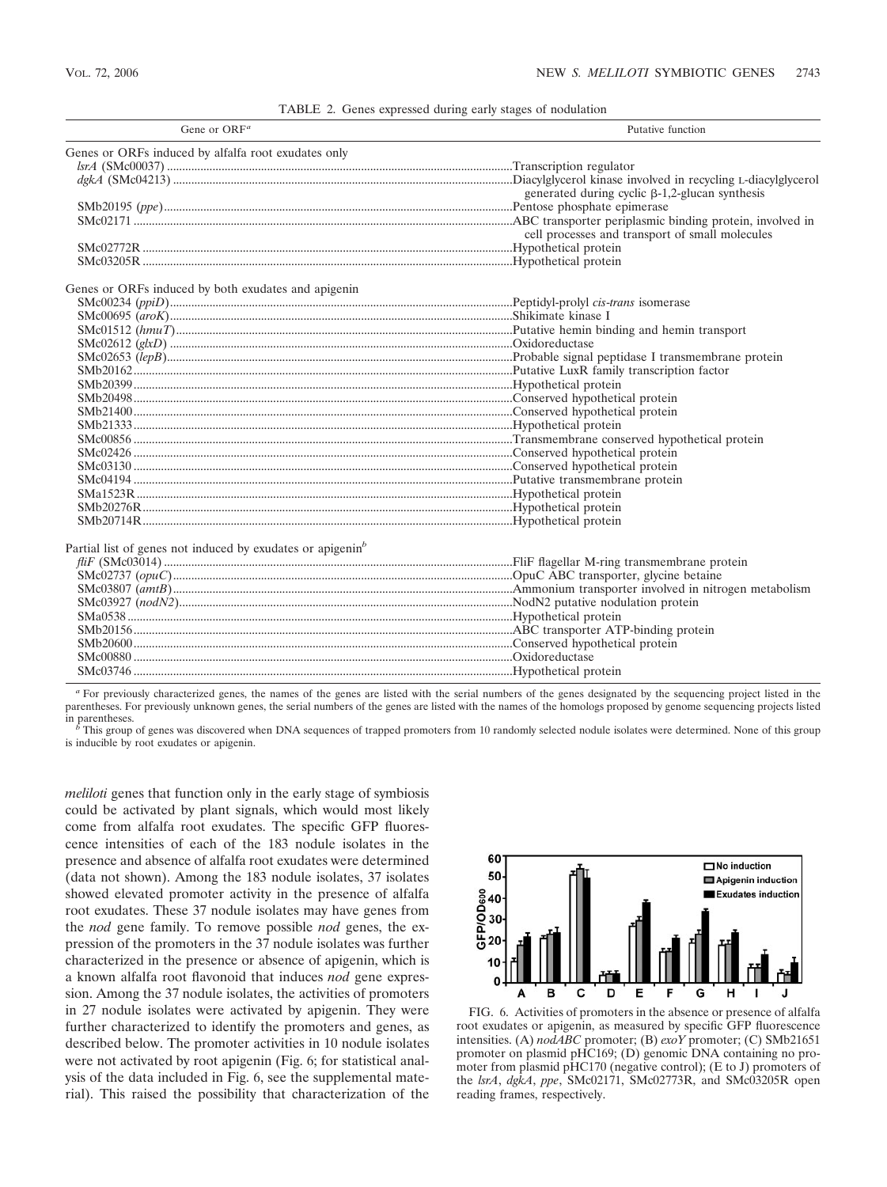TABLE 2. Genes expressed during early stages of nodulation

| Gene or $ORF^a$                                                        | Putative function                                     |
|------------------------------------------------------------------------|-------------------------------------------------------|
| Genes or ORFs induced by alfalfa root exudates only                    |                                                       |
|                                                                        |                                                       |
|                                                                        |                                                       |
|                                                                        | generated during cyclic $\beta$ -1,2-glucan synthesis |
|                                                                        |                                                       |
|                                                                        |                                                       |
|                                                                        | cell processes and transport of small molecules       |
|                                                                        |                                                       |
|                                                                        |                                                       |
|                                                                        |                                                       |
| Genes or ORFs induced by both exudates and apigenin                    |                                                       |
|                                                                        |                                                       |
|                                                                        |                                                       |
|                                                                        |                                                       |
|                                                                        |                                                       |
|                                                                        |                                                       |
|                                                                        |                                                       |
|                                                                        |                                                       |
|                                                                        |                                                       |
|                                                                        |                                                       |
|                                                                        |                                                       |
|                                                                        |                                                       |
|                                                                        |                                                       |
|                                                                        |                                                       |
|                                                                        |                                                       |
|                                                                        |                                                       |
|                                                                        |                                                       |
|                                                                        |                                                       |
|                                                                        |                                                       |
| Partial list of genes not induced by exudates or apigenin <sup>b</sup> |                                                       |
|                                                                        |                                                       |
|                                                                        |                                                       |
|                                                                        |                                                       |
|                                                                        |                                                       |
|                                                                        |                                                       |
|                                                                        |                                                       |
|                                                                        |                                                       |
|                                                                        |                                                       |
|                                                                        |                                                       |

<sup>a</sup> For previously characterized genes, the names of the genes are listed with the serial numbers of the genes designated by the sequencing project listed in the parentheses. For previously unknown genes, the serial numbers of the genes are listed with the names of the homologs proposed by genome sequencing projects listed

in parentheses.<br><sup>*b*</sup> This group of genes was discovered when DNA sequences of trapped promoters from 10 randomly selected nodule isolates were determined. None of this group is inducible by root exudates or apigenin.

*meliloti* genes that function only in the early stage of symbiosis could be activated by plant signals, which would most likely come from alfalfa root exudates. The specific GFP fluorescence intensities of each of the 183 nodule isolates in the presence and absence of alfalfa root exudates were determined (data not shown). Among the 183 nodule isolates, 37 isolates showed elevated promoter activity in the presence of alfalfa root exudates. These 37 nodule isolates may have genes from the *nod* gene family. To remove possible *nod* genes, the expression of the promoters in the 37 nodule isolates was further characterized in the presence or absence of apigenin, which is a known alfalfa root flavonoid that induces *nod* gene expression. Among the 37 nodule isolates, the activities of promoters in 27 nodule isolates were activated by apigenin. They were further characterized to identify the promoters and genes, as described below. The promoter activities in 10 nodule isolates were not activated by root apigenin (Fig. 6; for statistical analysis of the data included in Fig. 6, see the supplemental material). This raised the possibility that characterization of the



FIG. 6. Activities of promoters in the absence or presence of alfalfa root exudates or apigenin, as measured by specific GFP fluorescence intensities. (A) *nodABC* promoter; (B) *exoY* promoter; (C) SMb21651 promoter on plasmid pHC169; (D) genomic DNA containing no promoter from plasmid pHC170 (negative control); (E to J) promoters of the *lsrA*, *dgkA*, *ppe*, SMc02171, SMc02773R, and SMc03205R open reading frames, respectively.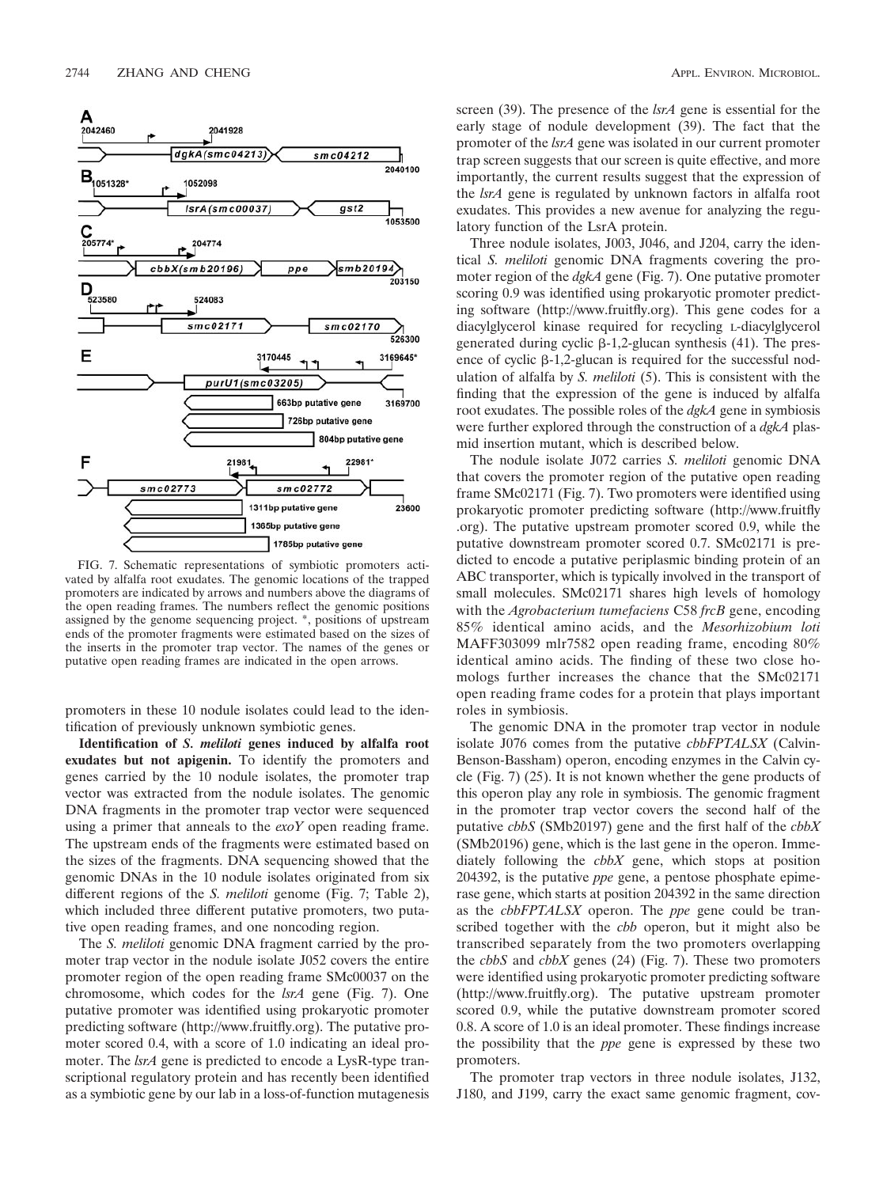

FIG. 7. Schematic representations of symbiotic promoters activated by alfalfa root exudates. The genomic locations of the trapped promoters are indicated by arrows and numbers above the diagrams of the open reading frames. The numbers reflect the genomic positions assigned by the genome sequencing project. \*, positions of upstream ends of the promoter fragments were estimated based on the sizes of the inserts in the promoter trap vector. The names of the genes or putative open reading frames are indicated in the open arrows.

promoters in these 10 nodule isolates could lead to the identification of previously unknown symbiotic genes.

**Identification of** *S. meliloti* **genes induced by alfalfa root exudates but not apigenin.** To identify the promoters and genes carried by the 10 nodule isolates, the promoter trap vector was extracted from the nodule isolates. The genomic DNA fragments in the promoter trap vector were sequenced using a primer that anneals to the *exoY* open reading frame. The upstream ends of the fragments were estimated based on the sizes of the fragments. DNA sequencing showed that the genomic DNAs in the 10 nodule isolates originated from six different regions of the *S. meliloti* genome (Fig. 7; Table 2), which included three different putative promoters, two putative open reading frames, and one noncoding region.

The *S. meliloti* genomic DNA fragment carried by the promoter trap vector in the nodule isolate J052 covers the entire promoter region of the open reading frame SMc00037 on the chromosome, which codes for the *lsrA* gene (Fig. 7). One putative promoter was identified using prokaryotic promoter predicting software (http://www.fruitfly.org). The putative promoter scored 0.4, with a score of 1.0 indicating an ideal promoter. The *lsrA* gene is predicted to encode a LysR-type transcriptional regulatory protein and has recently been identified as a symbiotic gene by our lab in a loss-of-function mutagenesis screen (39). The presence of the *lsrA* gene is essential for the early stage of nodule development (39). The fact that the promoter of the *lsrA* gene was isolated in our current promoter trap screen suggests that our screen is quite effective, and more importantly, the current results suggest that the expression of the *lsrA* gene is regulated by unknown factors in alfalfa root exudates. This provides a new avenue for analyzing the regulatory function of the LsrA protein.

Three nodule isolates, J003, J046, and J204, carry the identical *S. meliloti* genomic DNA fragments covering the promoter region of the *dgkA* gene (Fig. 7). One putative promoter scoring 0.9 was identified using prokaryotic promoter predicting software (http://www.fruitfly.org). This gene codes for a diacylglycerol kinase required for recycling L-diacylglycerol generated during cyclic  $\beta$ -1,2-glucan synthesis (41). The presence of cyclic  $\beta$ -1,2-glucan is required for the successful nodulation of alfalfa by *S. meliloti* (5). This is consistent with the finding that the expression of the gene is induced by alfalfa root exudates. The possible roles of the *dgkA* gene in symbiosis were further explored through the construction of a *dgkA* plasmid insertion mutant, which is described below.

The nodule isolate J072 carries *S. meliloti* genomic DNA that covers the promoter region of the putative open reading frame SMc02171 (Fig. 7). Two promoters were identified using prokaryotic promoter predicting software (http://www.fruitfly .org). The putative upstream promoter scored 0.9, while the putative downstream promoter scored 0.7. SMc02171 is predicted to encode a putative periplasmic binding protein of an ABC transporter, which is typically involved in the transport of small molecules. SMc02171 shares high levels of homology with the *Agrobacterium tumefaciens* C58 *frcB* gene, encoding 85% identical amino acids, and the *Mesorhizobium loti* MAFF303099 mlr7582 open reading frame, encoding 80% identical amino acids. The finding of these two close homologs further increases the chance that the SMc02171 open reading frame codes for a protein that plays important roles in symbiosis.

The genomic DNA in the promoter trap vector in nodule isolate J076 comes from the putative *cbbFPTALSX* (Calvin-Benson-Bassham) operon, encoding enzymes in the Calvin cycle (Fig. 7) (25). It is not known whether the gene products of this operon play any role in symbiosis. The genomic fragment in the promoter trap vector covers the second half of the putative *cbbS* (SMb20197) gene and the first half of the *cbbX* (SMb20196) gene, which is the last gene in the operon. Immediately following the *cbbX* gene, which stops at position 204392, is the putative *ppe* gene, a pentose phosphate epimerase gene, which starts at position 204392 in the same direction as the *cbbFPTALSX* operon. The *ppe* gene could be transcribed together with the *cbb* operon, but it might also be transcribed separately from the two promoters overlapping the *cbbS* and *cbbX* genes (24) (Fig. 7). These two promoters were identified using prokaryotic promoter predicting software (http://www.fruitfly.org). The putative upstream promoter scored 0.9, while the putative downstream promoter scored 0.8. A score of 1.0 is an ideal promoter. These findings increase the possibility that the *ppe* gene is expressed by these two promoters.

The promoter trap vectors in three nodule isolates, J132, J180, and J199, carry the exact same genomic fragment, cov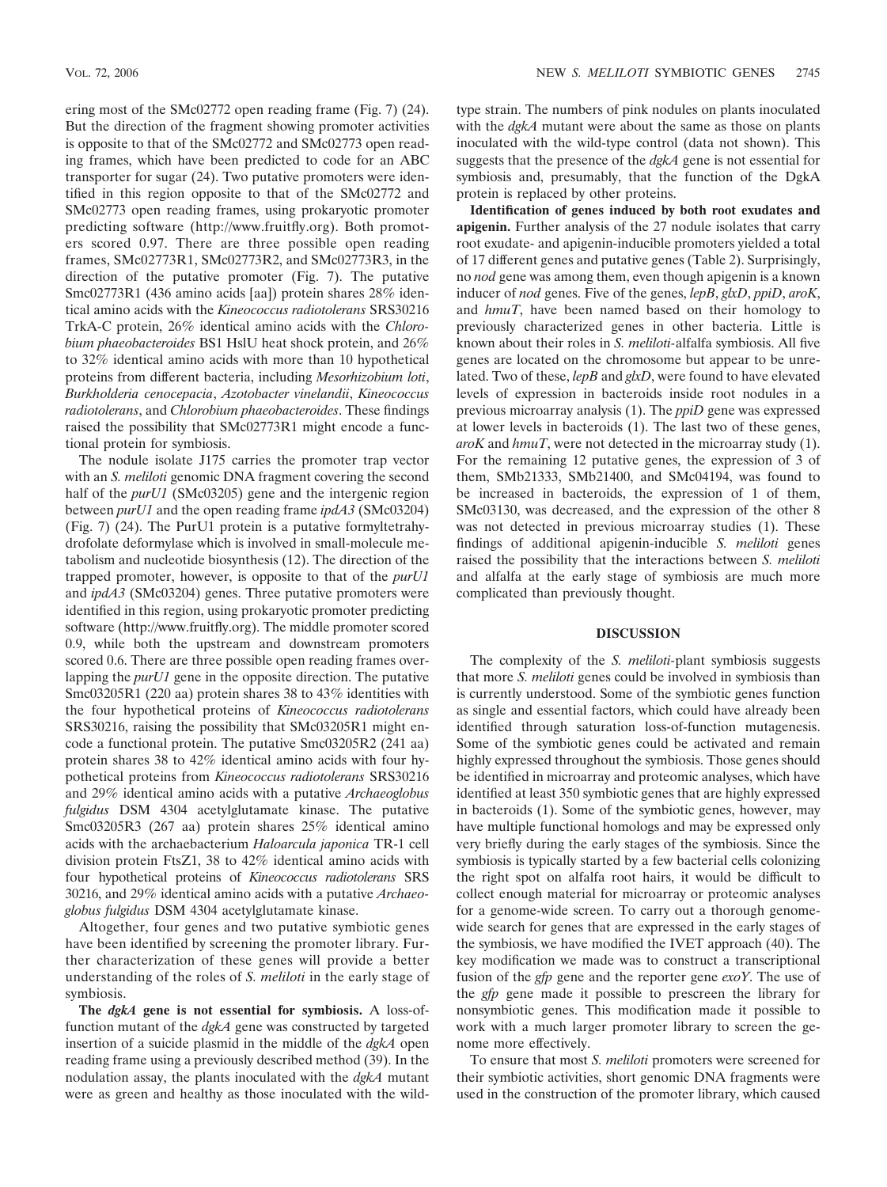ering most of the SMc02772 open reading frame (Fig. 7) (24). But the direction of the fragment showing promoter activities is opposite to that of the SMc02772 and SMc02773 open reading frames, which have been predicted to code for an ABC transporter for sugar (24). Two putative promoters were identified in this region opposite to that of the SMc02772 and SMc02773 open reading frames, using prokaryotic promoter predicting software (http://www.fruitfly.org). Both promoters scored 0.97. There are three possible open reading frames, SMc02773R1, SMc02773R2, and SMc02773R3, in the direction of the putative promoter (Fig. 7). The putative Smc02773R1 (436 amino acids [aa]) protein shares 28% identical amino acids with the *Kineococcus radiotolerans* SRS30216 TrkA-C protein, 26% identical amino acids with the *Chlorobium phaeobacteroides* BS1 HslU heat shock protein, and 26% to 32% identical amino acids with more than 10 hypothetical proteins from different bacteria, including *Mesorhizobium loti*, *Burkholderia cenocepacia*, *Azotobacter vinelandii*, *Kineococcus radiotolerans*, and *Chlorobium phaeobacteroides*. These findings raised the possibility that SMc02773R1 might encode a functional protein for symbiosis.

The nodule isolate J175 carries the promoter trap vector with an *S. meliloti* genomic DNA fragment covering the second half of the *purU1* (SMc03205) gene and the intergenic region between *purU1* and the open reading frame *ipdA3* (SMc03204) (Fig. 7) (24). The PurU1 protein is a putative formyltetrahydrofolate deformylase which is involved in small-molecule metabolism and nucleotide biosynthesis (12). The direction of the trapped promoter, however, is opposite to that of the *purU1* and *ipdA3* (SMc03204) genes. Three putative promoters were identified in this region, using prokaryotic promoter predicting software (http://www.fruitfly.org). The middle promoter scored 0.9, while both the upstream and downstream promoters scored 0.6. There are three possible open reading frames overlapping the *purU1* gene in the opposite direction. The putative Smc03205R1 (220 aa) protein shares 38 to 43% identities with the four hypothetical proteins of *Kineococcus radiotolerans* SRS30216, raising the possibility that SMc03205R1 might encode a functional protein. The putative Smc03205R2 (241 aa) protein shares 38 to 42% identical amino acids with four hypothetical proteins from *Kineococcus radiotolerans* SRS30216 and 29% identical amino acids with a putative *Archaeoglobus fulgidus* DSM 4304 acetylglutamate kinase. The putative Smc03205R3 (267 aa) protein shares 25% identical amino acids with the archaebacterium *Haloarcula japonica* TR-1 cell division protein FtsZ1, 38 to 42% identical amino acids with four hypothetical proteins of *Kineococcus radiotolerans* SRS 30216, and 29% identical amino acids with a putative *Archaeoglobus fulgidus* DSM 4304 acetylglutamate kinase.

Altogether, four genes and two putative symbiotic genes have been identified by screening the promoter library. Further characterization of these genes will provide a better understanding of the roles of *S. meliloti* in the early stage of symbiosis.

**The** *dgkA* **gene is not essential for symbiosis.** A loss-offunction mutant of the *dgkA* gene was constructed by targeted insertion of a suicide plasmid in the middle of the *dgkA* open reading frame using a previously described method (39). In the nodulation assay, the plants inoculated with the *dgkA* mutant were as green and healthy as those inoculated with the wildtype strain. The numbers of pink nodules on plants inoculated with the *dgkA* mutant were about the same as those on plants inoculated with the wild-type control (data not shown). This suggests that the presence of the *dgkA* gene is not essential for symbiosis and, presumably, that the function of the DgkA protein is replaced by other proteins.

**Identification of genes induced by both root exudates and apigenin.** Further analysis of the 27 nodule isolates that carry root exudate- and apigenin-inducible promoters yielded a total of 17 different genes and putative genes (Table 2). Surprisingly, no *nod* gene was among them, even though apigenin is a known inducer of *nod* genes. Five of the genes, *lepB*, *glxD*, *ppiD*, *aroK*, and *hmuT*, have been named based on their homology to previously characterized genes in other bacteria. Little is known about their roles in *S. meliloti-*alfalfa symbiosis. All five genes are located on the chromosome but appear to be unrelated. Two of these, *lepB* and *glxD*, were found to have elevated levels of expression in bacteroids inside root nodules in a previous microarray analysis (1). The *ppiD* gene was expressed at lower levels in bacteroids (1). The last two of these genes, *aroK* and *hmuT*, were not detected in the microarray study (1). For the remaining 12 putative genes, the expression of 3 of them, SMb21333, SMb21400, and SMc04194, was found to be increased in bacteroids, the expression of 1 of them, SMc03130, was decreased, and the expression of the other 8 was not detected in previous microarray studies (1). These findings of additional apigenin-inducible *S. meliloti* genes raised the possibility that the interactions between *S. meliloti* and alfalfa at the early stage of symbiosis are much more complicated than previously thought.

# **DISCUSSION**

The complexity of the *S. meliloti-*plant symbiosis suggests that more *S. meliloti* genes could be involved in symbiosis than is currently understood. Some of the symbiotic genes function as single and essential factors, which could have already been identified through saturation loss-of-function mutagenesis. Some of the symbiotic genes could be activated and remain highly expressed throughout the symbiosis. Those genes should be identified in microarray and proteomic analyses, which have identified at least 350 symbiotic genes that are highly expressed in bacteroids (1). Some of the symbiotic genes, however, may have multiple functional homologs and may be expressed only very briefly during the early stages of the symbiosis. Since the symbiosis is typically started by a few bacterial cells colonizing the right spot on alfalfa root hairs, it would be difficult to collect enough material for microarray or proteomic analyses for a genome-wide screen. To carry out a thorough genomewide search for genes that are expressed in the early stages of the symbiosis, we have modified the IVET approach (40). The key modification we made was to construct a transcriptional fusion of the *gfp* gene and the reporter gene *exoY*. The use of the *gfp* gene made it possible to prescreen the library for nonsymbiotic genes. This modification made it possible to work with a much larger promoter library to screen the genome more effectively.

To ensure that most *S. meliloti* promoters were screened for their symbiotic activities, short genomic DNA fragments were used in the construction of the promoter library, which caused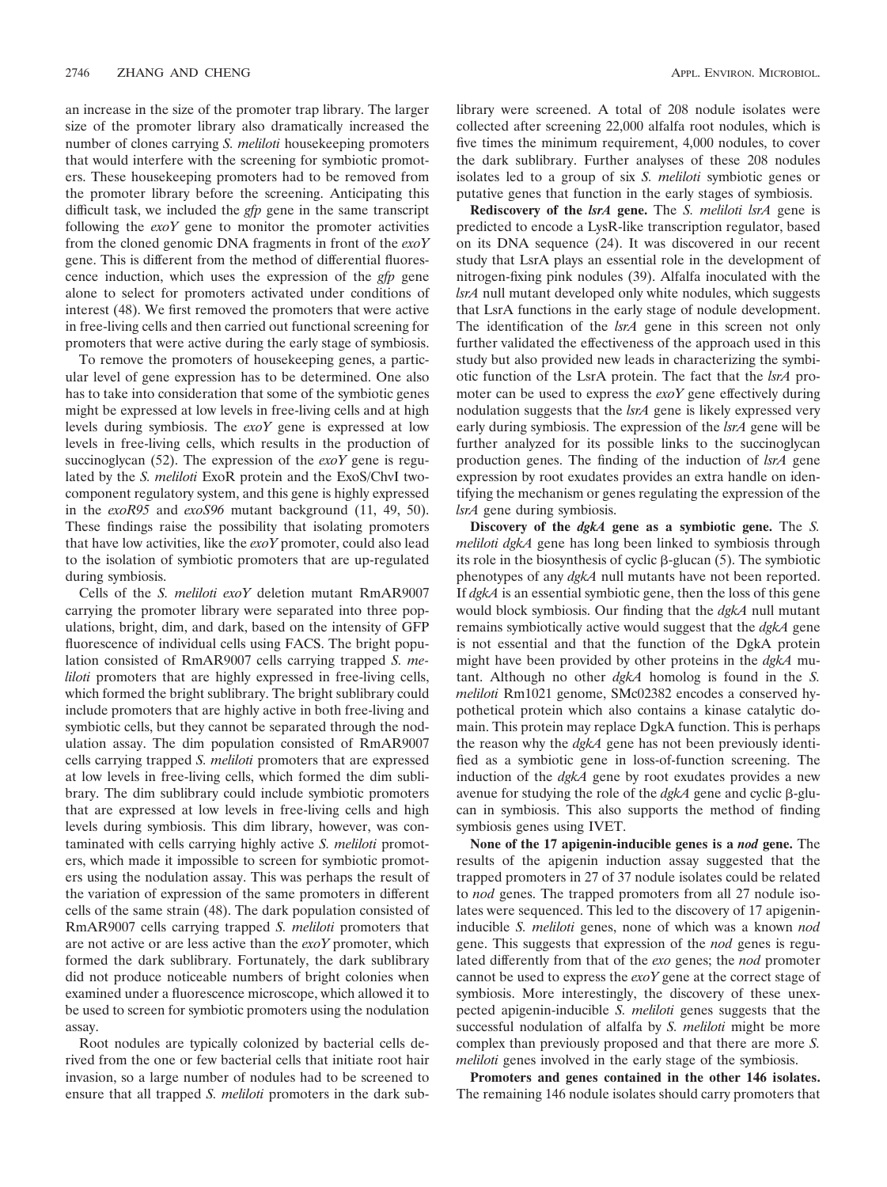an increase in the size of the promoter trap library. The larger size of the promoter library also dramatically increased the number of clones carrying *S. meliloti* housekeeping promoters that would interfere with the screening for symbiotic promoters. These housekeeping promoters had to be removed from the promoter library before the screening. Anticipating this difficult task, we included the *gfp* gene in the same transcript following the *exoY* gene to monitor the promoter activities from the cloned genomic DNA fragments in front of the *exoY* gene. This is different from the method of differential fluorescence induction, which uses the expression of the *gfp* gene alone to select for promoters activated under conditions of interest (48). We first removed the promoters that were active in free-living cells and then carried out functional screening for promoters that were active during the early stage of symbiosis.

To remove the promoters of housekeeping genes, a particular level of gene expression has to be determined. One also has to take into consideration that some of the symbiotic genes might be expressed at low levels in free-living cells and at high levels during symbiosis. The *exoY* gene is expressed at low levels in free-living cells, which results in the production of succinoglycan (52). The expression of the *exoY* gene is regulated by the *S. meliloti* ExoR protein and the ExoS/ChvI twocomponent regulatory system, and this gene is highly expressed in the *exoR95* and *exoS96* mutant background (11, 49, 50). These findings raise the possibility that isolating promoters that have low activities, like the *exoY* promoter, could also lead to the isolation of symbiotic promoters that are up-regulated during symbiosis.

Cells of the *S. meliloti exoY* deletion mutant RmAR9007 carrying the promoter library were separated into three populations, bright, dim, and dark, based on the intensity of GFP fluorescence of individual cells using FACS. The bright population consisted of RmAR9007 cells carrying trapped *S. meliloti* promoters that are highly expressed in free-living cells, which formed the bright sublibrary. The bright sublibrary could include promoters that are highly active in both free-living and symbiotic cells, but they cannot be separated through the nodulation assay. The dim population consisted of RmAR9007 cells carrying trapped *S. meliloti* promoters that are expressed at low levels in free-living cells, which formed the dim sublibrary. The dim sublibrary could include symbiotic promoters that are expressed at low levels in free-living cells and high levels during symbiosis. This dim library, however, was contaminated with cells carrying highly active *S. meliloti* promoters, which made it impossible to screen for symbiotic promoters using the nodulation assay. This was perhaps the result of the variation of expression of the same promoters in different cells of the same strain (48). The dark population consisted of RmAR9007 cells carrying trapped *S. meliloti* promoters that are not active or are less active than the *exoY* promoter, which formed the dark sublibrary. Fortunately, the dark sublibrary did not produce noticeable numbers of bright colonies when examined under a fluorescence microscope, which allowed it to be used to screen for symbiotic promoters using the nodulation assay.

Root nodules are typically colonized by bacterial cells derived from the one or few bacterial cells that initiate root hair invasion, so a large number of nodules had to be screened to ensure that all trapped *S. meliloti* promoters in the dark sublibrary were screened. A total of 208 nodule isolates were collected after screening 22,000 alfalfa root nodules, which is five times the minimum requirement, 4,000 nodules, to cover the dark sublibrary. Further analyses of these 208 nodules isolates led to a group of six *S. meliloti* symbiotic genes or putative genes that function in the early stages of symbiosis.

**Rediscovery of the** *lsrA* **gene.** The *S. meliloti lsrA* gene is predicted to encode a LysR-like transcription regulator, based on its DNA sequence (24). It was discovered in our recent study that LsrA plays an essential role in the development of nitrogen-fixing pink nodules (39). Alfalfa inoculated with the *lsrA* null mutant developed only white nodules, which suggests that LsrA functions in the early stage of nodule development. The identification of the *lsrA* gene in this screen not only further validated the effectiveness of the approach used in this study but also provided new leads in characterizing the symbiotic function of the LsrA protein. The fact that the *lsrA* promoter can be used to express the *exoY* gene effectively during nodulation suggests that the *lsrA* gene is likely expressed very early during symbiosis. The expression of the *lsrA* gene will be further analyzed for its possible links to the succinoglycan production genes. The finding of the induction of *lsrA* gene expression by root exudates provides an extra handle on identifying the mechanism or genes regulating the expression of the *lsrA* gene during symbiosis.

**Discovery of the** *dgkA* **gene as a symbiotic gene.** The *S. meliloti dgkA* gene has long been linked to symbiosis through its role in the biosynthesis of cyclic  $\beta$ -glucan (5). The symbiotic phenotypes of any *dgkA* null mutants have not been reported. If *dgkA* is an essential symbiotic gene, then the loss of this gene would block symbiosis. Our finding that the *dgkA* null mutant remains symbiotically active would suggest that the *dgkA* gene is not essential and that the function of the DgkA protein might have been provided by other proteins in the *dgkA* mutant. Although no other *dgkA* homolog is found in the *S. meliloti* Rm1021 genome, SMc02382 encodes a conserved hypothetical protein which also contains a kinase catalytic domain. This protein may replace DgkA function. This is perhaps the reason why the *dgkA* gene has not been previously identified as a symbiotic gene in loss-of-function screening. The induction of the *dgkA* gene by root exudates provides a new avenue for studying the role of the *dgkA* gene and cyclic  $\beta$ -glucan in symbiosis. This also supports the method of finding symbiosis genes using IVET.

**None of the 17 apigenin-inducible genes is a** *nod* **gene.** The results of the apigenin induction assay suggested that the trapped promoters in 27 of 37 nodule isolates could be related to *nod* genes. The trapped promoters from all 27 nodule isolates were sequenced. This led to the discovery of 17 apigenininducible *S. meliloti* genes, none of which was a known *nod* gene. This suggests that expression of the *nod* genes is regulated differently from that of the *exo* genes; the *nod* promoter cannot be used to express the *exoY* gene at the correct stage of symbiosis. More interestingly, the discovery of these unexpected apigenin-inducible *S. meliloti* genes suggests that the successful nodulation of alfalfa by *S. meliloti* might be more complex than previously proposed and that there are more *S. meliloti* genes involved in the early stage of the symbiosis.

**Promoters and genes contained in the other 146 isolates.** The remaining 146 nodule isolates should carry promoters that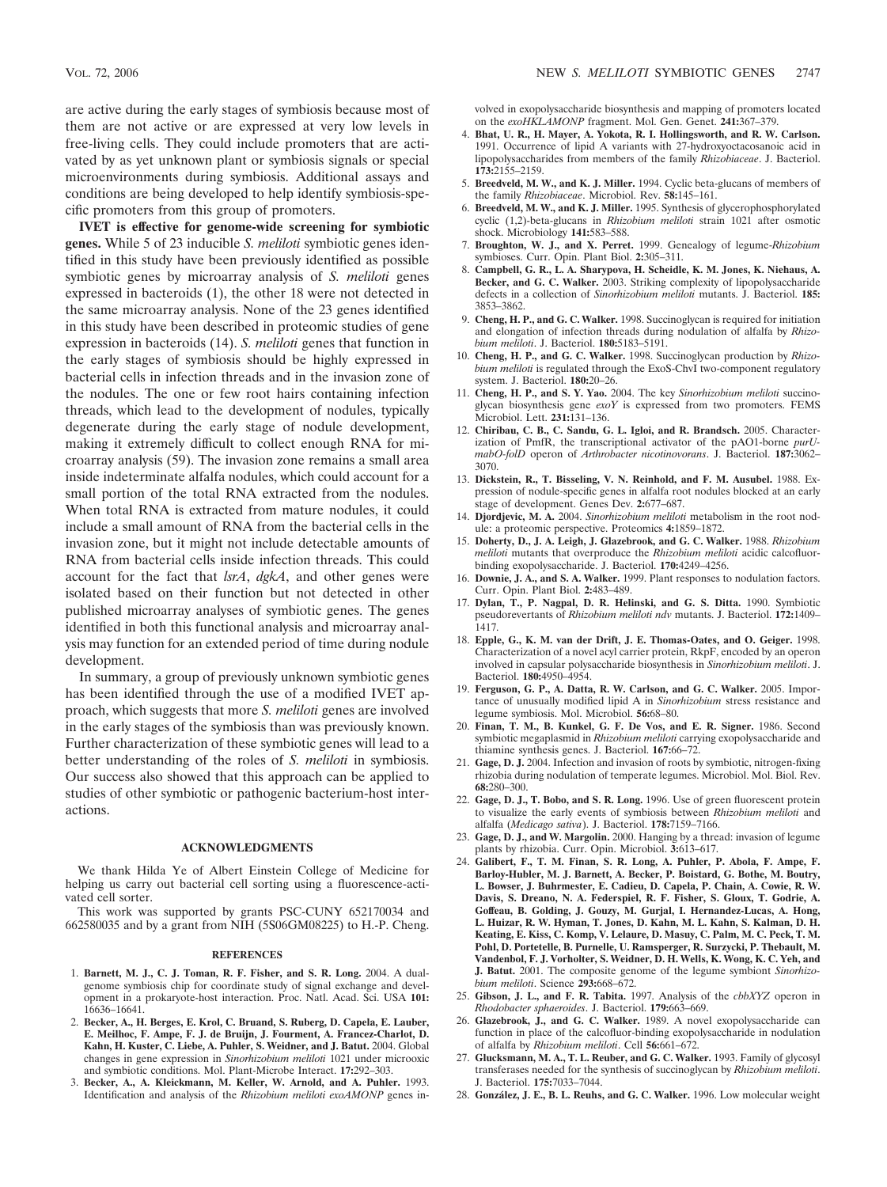are active during the early stages of symbiosis because most of them are not active or are expressed at very low levels in free-living cells. They could include promoters that are activated by as yet unknown plant or symbiosis signals or special microenvironments during symbiosis. Additional assays and conditions are being developed to help identify symbiosis-specific promoters from this group of promoters.

**IVET is effective for genome-wide screening for symbiotic genes.** While 5 of 23 inducible *S. meliloti* symbiotic genes identified in this study have been previously identified as possible symbiotic genes by microarray analysis of *S. meliloti* genes expressed in bacteroids (1), the other 18 were not detected in the same microarray analysis. None of the 23 genes identified in this study have been described in proteomic studies of gene expression in bacteroids (14). *S. meliloti* genes that function in the early stages of symbiosis should be highly expressed in bacterial cells in infection threads and in the invasion zone of the nodules. The one or few root hairs containing infection threads, which lead to the development of nodules, typically degenerate during the early stage of nodule development, making it extremely difficult to collect enough RNA for microarray analysis (59). The invasion zone remains a small area inside indeterminate alfalfa nodules, which could account for a small portion of the total RNA extracted from the nodules. When total RNA is extracted from mature nodules, it could include a small amount of RNA from the bacterial cells in the invasion zone, but it might not include detectable amounts of RNA from bacterial cells inside infection threads. This could account for the fact that *lsrA*, *dgkA*, and other genes were isolated based on their function but not detected in other published microarray analyses of symbiotic genes. The genes identified in both this functional analysis and microarray analysis may function for an extended period of time during nodule development.

In summary, a group of previously unknown symbiotic genes has been identified through the use of a modified IVET approach, which suggests that more *S. meliloti* genes are involved in the early stages of the symbiosis than was previously known. Further characterization of these symbiotic genes will lead to a better understanding of the roles of *S. meliloti* in symbiosis. Our success also showed that this approach can be applied to studies of other symbiotic or pathogenic bacterium-host interactions.

## **ACKNOWLEDGMENTS**

We thank Hilda Ye of Albert Einstein College of Medicine for helping us carry out bacterial cell sorting using a fluorescence-activated cell sorter.

This work was supported by grants PSC-CUNY 652170034 and 662580035 and by a grant from NIH (5S06GM08225) to H.-P. Cheng.

#### **REFERENCES**

- 1. **Barnett, M. J., C. J. Toman, R. F. Fisher, and S. R. Long.** 2004. A dualgenome symbiosis chip for coordinate study of signal exchange and development in a prokaryote-host interaction. Proc. Natl. Acad. Sci. USA **101:** 16636–16641.
- 2. **Becker, A., H. Berges, E. Krol, C. Bruand, S. Ruberg, D. Capela, E. Lauber, E. Meilhoc, F. Ampe, F. J. de Bruijn, J. Fourment, A. Francez-Charlot, D. Kahn, H. Kuster, C. Liebe, A. Puhler, S. Weidner, and J. Batut.** 2004. Global changes in gene expression in *Sinorhizobium meliloti* 1021 under microoxic and symbiotic conditions. Mol. Plant-Microbe Interact. **17:**292–303.
- 3. **Becker, A., A. Kleickmann, M. Keller, W. Arnold, and A. Puhler.** 1993. Identification and analysis of the *Rhizobium meliloti exoAMONP* genes in-

volved in exopolysaccharide biosynthesis and mapping of promoters located on the *exoHKLAMONP* fragment. Mol. Gen. Genet. **241:**367–379.

- 4. **Bhat, U. R., H. Mayer, A. Yokota, R. I. Hollingsworth, and R. W. Carlson.** 1991. Occurrence of lipid A variants with 27-hydroxyoctacosanoic acid in lipopolysaccharides from members of the family *Rhizobiaceae*. J. Bacteriol. **173:**2155–2159.
- 5. **Breedveld, M. W., and K. J. Miller.** 1994. Cyclic beta-glucans of members of the family *Rhizobiaceae*. Microbiol. Rev. **58:**145–161.
- 6. **Breedveld, M. W., and K. J. Miller.** 1995. Synthesis of glycerophosphorylated cyclic (1,2)-beta-glucans in *Rhizobium meliloti* strain 1021 after osmotic shock. Microbiology **141:**583–588.
- 7. **Broughton, W. J., and X. Perret.** 1999. Genealogy of legume-*Rhizobium* symbioses. Curr. Opin. Plant Biol. **2:**305–311.
- 8. **Campbell, G. R., L. A. Sharypova, H. Scheidle, K. M. Jones, K. Niehaus, A. Becker, and G. C. Walker.** 2003. Striking complexity of lipopolysaccharide defects in a collection of *Sinorhizobium meliloti* mutants. J. Bacteriol. **185:** 3853–3862.
- 9. **Cheng, H. P., and G. C. Walker.** 1998. Succinoglycan is required for initiation and elongation of infection threads during nodulation of alfalfa by *Rhizobium meliloti*. J. Bacteriol. **180:**5183–5191.
- 10. **Cheng, H. P., and G. C. Walker.** 1998. Succinoglycan production by *Rhizo*bium meliloti is regulated through the ExoS-ChvI two-component regulatory system. J. Bacteriol. **180:**20–26.
- 11. **Cheng, H. P., and S. Y. Yao.** 2004. The key *Sinorhizobium meliloti* succinoglycan biosynthesis gene *exoY* is expressed from two promoters. FEMS Microbiol. Lett. **231:**131–136.
- 12. **Chiribau, C. B., C. Sandu, G. L. Igloi, and R. Brandsch.** 2005. Characterization of PmfR, the transcriptional activator of the pAO1-borne *purUmabO-folD* operon of *Arthrobacter nicotinovorans*. J. Bacteriol. **187:**3062– 3070.
- 13. **Dickstein, R., T. Bisseling, V. N. Reinhold, and F. M. Ausubel.** 1988. Expression of nodule-specific genes in alfalfa root nodules blocked at an early stage of development. Genes Dev. **2:**677–687.
- 14. **Djordjevic, M. A.** 2004. *Sinorhizobium meliloti* metabolism in the root nodule: a proteomic perspective. Proteomics **4:**1859–1872.
- 15. **Doherty, D., J. A. Leigh, J. Glazebrook, and G. C. Walker.** 1988. *Rhizobium meliloti* mutants that overproduce the *Rhizobium meliloti* acidic calcofluorbinding exopolysaccharide. J. Bacteriol. **170:**4249–4256.
- 16. **Downie, J. A., and S. A. Walker.** 1999. Plant responses to nodulation factors. Curr. Opin. Plant Biol. **2:**483–489.
- 17. **Dylan, T., P. Nagpal, D. R. Helinski, and G. S. Ditta.** 1990. Symbiotic pseudorevertants of *Rhizobium meliloti ndv* mutants. J. Bacteriol. **172:**1409– 1417.
- 18. **Epple, G., K. M. van der Drift, J. E. Thomas-Oates, and O. Geiger.** 1998. Characterization of a novel acyl carrier protein, RkpF, encoded by an operon involved in capsular polysaccharide biosynthesis in *Sinorhizobium meliloti*. J. Bacteriol. **180:**4950–4954.
- 19. **Ferguson, G. P., A. Datta, R. W. Carlson, and G. C. Walker.** 2005. Importance of unusually modified lipid A in *Sinorhizobium* stress resistance and legume symbiosis. Mol. Microbiol. **56:**68–80.
- 20. **Finan, T. M., B. Kunkel, G. F. De Vos, and E. R. Signer.** 1986. Second symbiotic megaplasmid in *Rhizobium meliloti* carrying exopolysaccharide and thiamine synthesis genes. J. Bacteriol. **167:**66–72.
- 21. **Gage, D. J.** 2004. Infection and invasion of roots by symbiotic, nitrogen-fixing rhizobia during nodulation of temperate legumes. Microbiol. Mol. Biol. Rev. **68:**280–300.
- 22. **Gage, D. J., T. Bobo, and S. R. Long.** 1996. Use of green fluorescent protein to visualize the early events of symbiosis between *Rhizobium meliloti* and alfalfa (*Medicago sativa*). J. Bacteriol. **178:**7159–7166.
- 23. **Gage, D. J., and W. Margolin.** 2000. Hanging by a thread: invasion of legume plants by rhizobia. Curr. Opin. Microbiol. **3:**613–617.
- 24. **Galibert, F., T. M. Finan, S. R. Long, A. Puhler, P. Abola, F. Ampe, F. Barloy-Hubler, M. J. Barnett, A. Becker, P. Boistard, G. Bothe, M. Boutry, L. Bowser, J. Buhrmester, E. Cadieu, D. Capela, P. Chain, A. Cowie, R. W. Davis, S. Dreano, N. A. Federspiel, R. F. Fisher, S. Gloux, T. Godrie, A. Goffeau, B. Golding, J. Gouzy, M. Gurjal, I. Hernandez-Lucas, A. Hong, L. Huizar, R. W. Hyman, T. Jones, D. Kahn, M. L. Kahn, S. Kalman, D. H. Keating, E. Kiss, C. Komp, V. Lelaure, D. Masuy, C. Palm, M. C. Peck, T. M. Pohl, D. Portetelle, B. Purnelle, U. Ramsperger, R. Surzycki, P. Thebault, M. Vandenbol, F. J. Vorholter, S. Weidner, D. H. Wells, K. Wong, K. C. Yeh, and J. Batut.** 2001. The composite genome of the legume symbiont *Sinorhizobium meliloti*. Science **293:**668–672.
- 25. **Gibson, J. L., and F. R. Tabita.** 1997. Analysis of the *cbbXYZ* operon in *Rhodobacter sphaeroides*. J. Bacteriol. **179:**663–669.
- 26. **Glazebrook, J., and G. C. Walker.** 1989. A novel exopolysaccharide can function in place of the calcofluor-binding exopolysaccharide in nodulation of alfalfa by *Rhizobium meliloti*. Cell **56:**661–672.
- 27. **Glucksmann, M. A., T. L. Reuber, and G. C. Walker.** 1993. Family of glycosyl transferases needed for the synthesis of succinoglycan by *Rhizobium meliloti*. J. Bacteriol. **175:**7033–7044.
- 28. **González, J. E., B. L. Reuhs, and G. C. Walker.** 1996. Low molecular weight